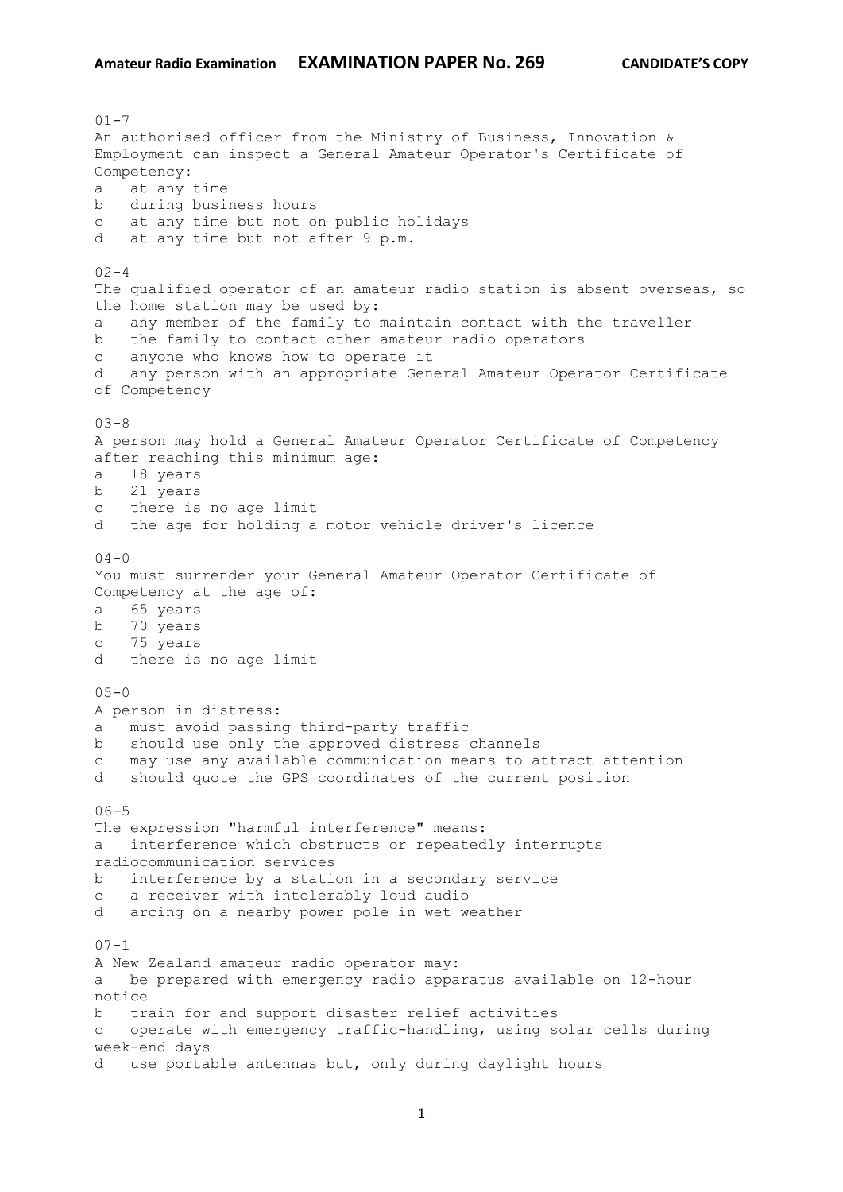$01 - 7$ An authorised officer from the Ministry of Business, Innovation & Employment can inspect a General Amateur Operator's Certificate of Competency: a at any time b during business hours c at any time but not on public holidays d at any time but not after 9 p.m.  $02 - 4$ The qualified operator of an amateur radio station is absent overseas, so the home station may be used by: a any member of the family to maintain contact with the traveller b the family to contact other amateur radio operators c anyone who knows how to operate it d any person with an appropriate General Amateur Operator Certificate of Competency  $03 - 8$ A person may hold a General Amateur Operator Certificate of Competency after reaching this minimum age: a 18 years b 21 years c there is no age limit d the age for holding a motor vehicle driver's licence  $04 - 0$ You must surrender your General Amateur Operator Certificate of Competency at the age of: a 65 years b 70 years c 75 years d there is no age limit  $05 - 0$ A person in distress: a must avoid passing third-party traffic b should use only the approved distress channels c may use any available communication means to attract attention d should quote the GPS coordinates of the current position  $06 - 5$ The expression "harmful interference" means: a interference which obstructs or repeatedly interrupts radiocommunication services b interference by a station in a secondary service c a receiver with intolerably loud audio d arcing on a nearby power pole in wet weather  $07 - 1$ A New Zealand amateur radio operator may: a be prepared with emergency radio apparatus available on 12-hour notice b train for and support disaster relief activities c operate with emergency traffic-handling, using solar cells during week-end days d use portable antennas but, only during daylight hours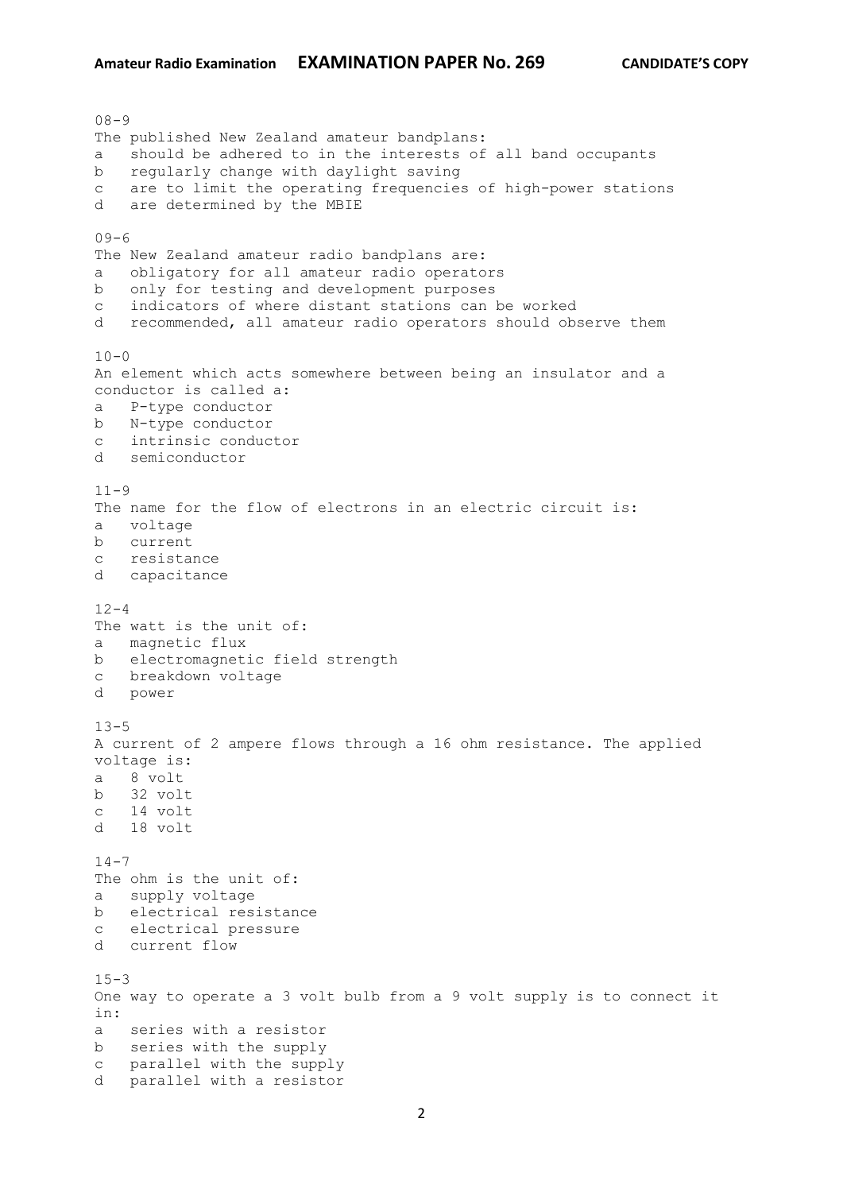08-9 The published New Zealand amateur bandplans: a should be adhered to in the interests of all band occupants b regularly change with daylight saving c are to limit the operating frequencies of high-power stations d are determined by the MBIE  $09 - 6$ The New Zealand amateur radio bandplans are: a obligatory for all amateur radio operators b only for testing and development purposes c indicators of where distant stations can be worked d recommended, all amateur radio operators should observe them  $10 - 0$ An element which acts somewhere between being an insulator and a conductor is called a: a P-type conductor b N-type conductor c intrinsic conductor d semiconductor  $11 - 9$ The name for the flow of electrons in an electric circuit is: a voltage b current c resistance d capacitance  $12 - 4$ The watt is the unit of: a magnetic flux b electromagnetic field strength c breakdown voltage d power  $13 - 5$ A current of 2 ampere flows through a 16 ohm resistance. The applied voltage is: a 8 volt b 32 volt c 14 volt d 18 volt  $14 - 7$ The ohm is the unit of: a supply voltage b electrical resistance c electrical pressure d current flow  $15 - 3$ One way to operate a 3 volt bulb from a 9 volt supply is to connect it in: a series with a resistor b series with the supply c parallel with the supply d parallel with a resistor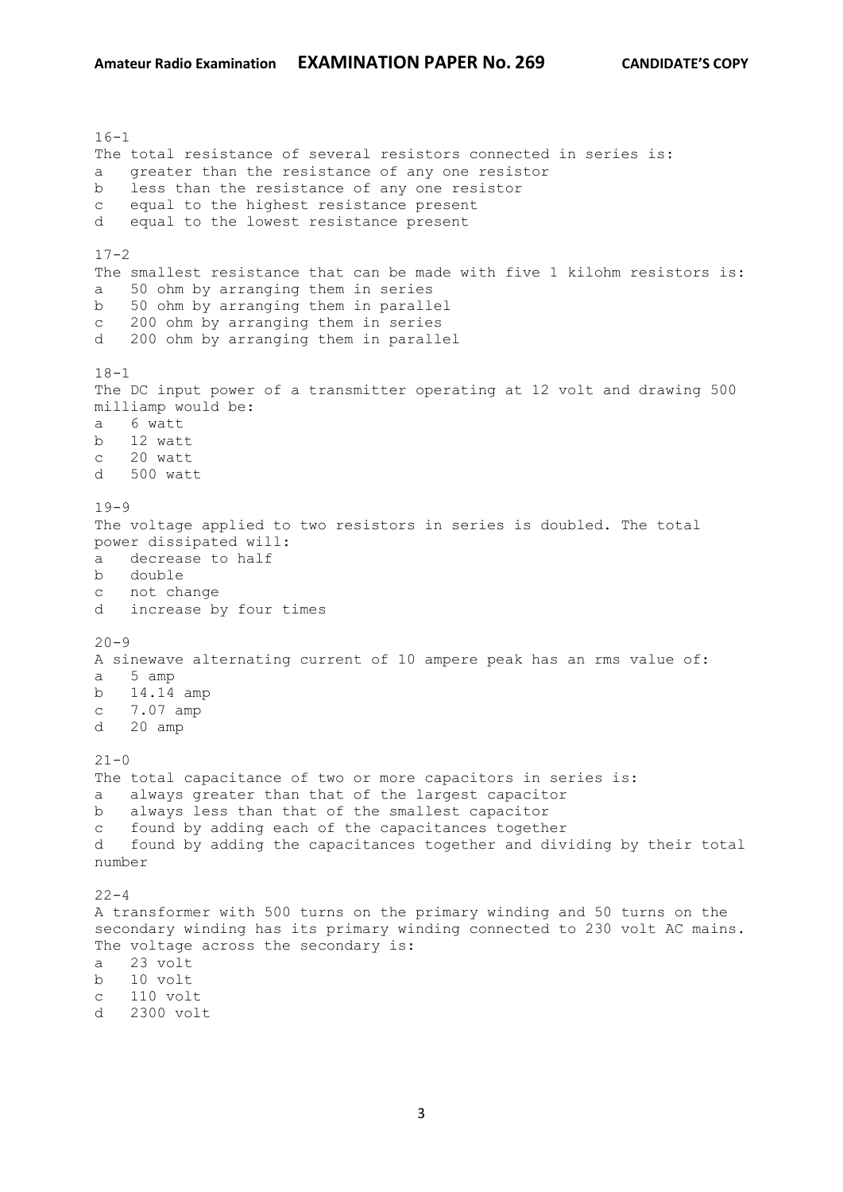$16 - 1$ The total resistance of several resistors connected in series is: a greater than the resistance of any one resistor b less than the resistance of any one resistor c equal to the highest resistance present d equal to the lowest resistance present  $17 - 2$ The smallest resistance that can be made with five 1 kilohm resistors is: a 50 ohm by arranging them in series b 50 ohm by arranging them in parallel c 200 ohm by arranging them in series d 200 ohm by arranging them in parallel  $18 - 1$ The DC input power of a transmitter operating at 12 volt and drawing 500 milliamp would be: a 6 watt b 12 watt c 20 watt d 500 watt  $19-9$ The voltage applied to two resistors in series is doubled. The total power dissipated will: a decrease to half b double c not change d increase by four times  $20 - 9$ A sinewave alternating current of 10 ampere peak has an rms value of: a 5 amp b 14.14 amp c 7.07 amp d 20 amp  $21 - 0$ The total capacitance of two or more capacitors in series is: a always greater than that of the largest capacitor b always less than that of the smallest capacitor c found by adding each of the capacitances together d found by adding the capacitances together and dividing by their total number  $22 - 4$ A transformer with 500 turns on the primary winding and 50 turns on the secondary winding has its primary winding connected to 230 volt AC mains. The voltage across the secondary is: a 23 volt b 10 volt c 110 volt d 2300 volt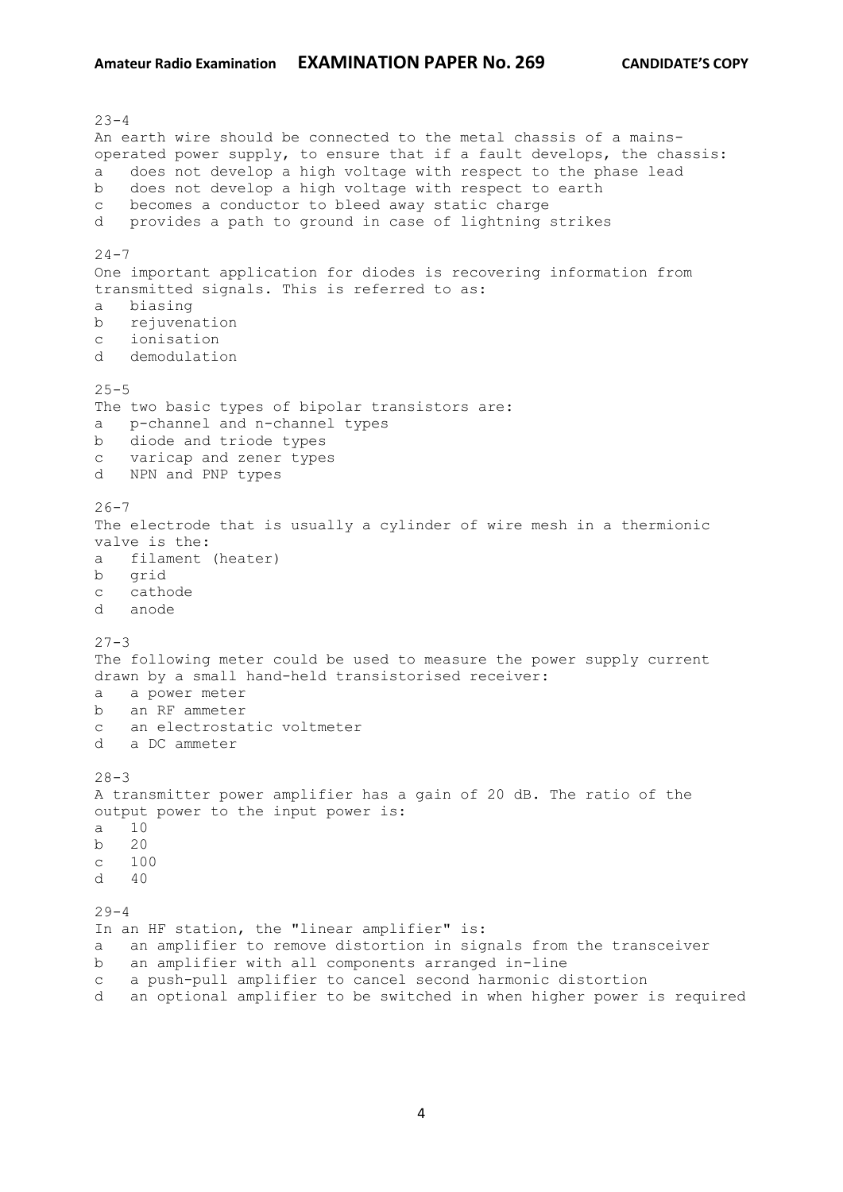$23 - 4$ An earth wire should be connected to the metal chassis of a mainsoperated power supply, to ensure that if a fault develops, the chassis: a does not develop a high voltage with respect to the phase lead b does not develop a high voltage with respect to earth c becomes a conductor to bleed away static charge d provides a path to ground in case of lightning strikes  $24 - 7$ One important application for diodes is recovering information from transmitted signals. This is referred to as: a biasing b rejuvenation c ionisation d demodulation  $25 - 5$ The two basic types of bipolar transistors are: a p-channel and n-channel types b diode and triode types c varicap and zener types d NPN and PNP types  $26 - 7$ The electrode that is usually a cylinder of wire mesh in a thermionic valve is the: a filament (heater) b grid c cathode d anode  $27 - 3$ The following meter could be used to measure the power supply current drawn by a small hand-held transistorised receiver: a a power meter b an RF ammeter c an electrostatic voltmeter d a DC ammeter  $28 - 3$ A transmitter power amplifier has a gain of 20 dB. The ratio of the output power to the input power is: a 10 b 20 c 100  $d \neq 40$  $29 - 4$ In an HF station, the "linear amplifier" is: a an amplifier to remove distortion in signals from the transceiver b an amplifier with all components arranged in-line c a push-pull amplifier to cancel second harmonic distortion d an optional amplifier to be switched in when higher power is required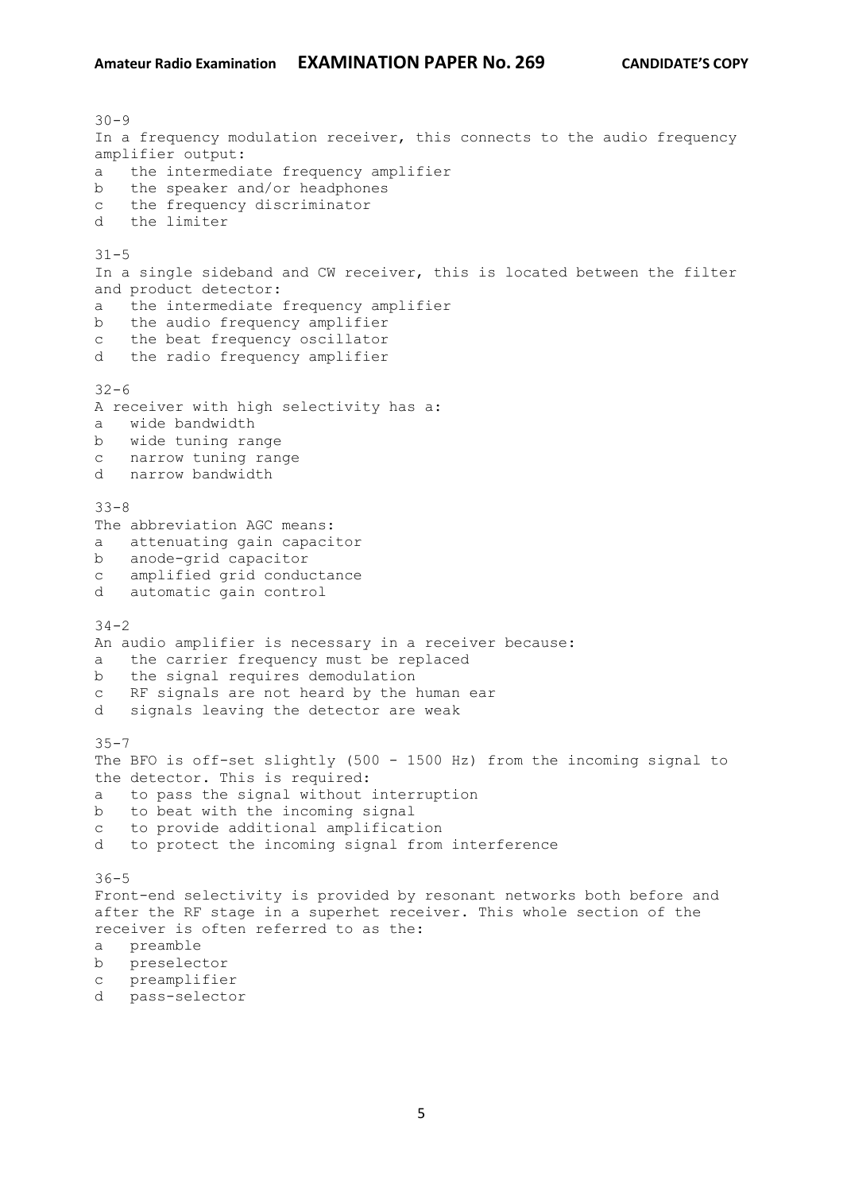$30 - 9$ In a frequency modulation receiver, this connects to the audio frequency amplifier output: a the intermediate frequency amplifier b the speaker and/or headphones c the frequency discriminator d the limiter  $31 - 5$ In a single sideband and CW receiver, this is located between the filter and product detector: a the intermediate frequency amplifier b the audio frequency amplifier c the beat frequency oscillator d the radio frequency amplifier  $32 - 6$ A receiver with high selectivity has a: a wide bandwidth b wide tuning range c narrow tuning range d narrow bandwidth 33-8 The abbreviation AGC means: a attenuating gain capacitor b anode-grid capacitor c amplified grid conductance d automatic gain control  $34 - 2$ An audio amplifier is necessary in a receiver because: a the carrier frequency must be replaced b the signal requires demodulation c RF signals are not heard by the human ear d signals leaving the detector are weak  $35 - 7$ The BFO is off-set slightly (500 - 1500 Hz) from the incoming signal to the detector. This is required: a to pass the signal without interruption b to beat with the incoming signal c to provide additional amplification d to protect the incoming signal from interference 36-5 Front-end selectivity is provided by resonant networks both before and after the RF stage in a superhet receiver. This whole section of the receiver is often referred to as the: a preamble b preselector c preamplifier d pass-selector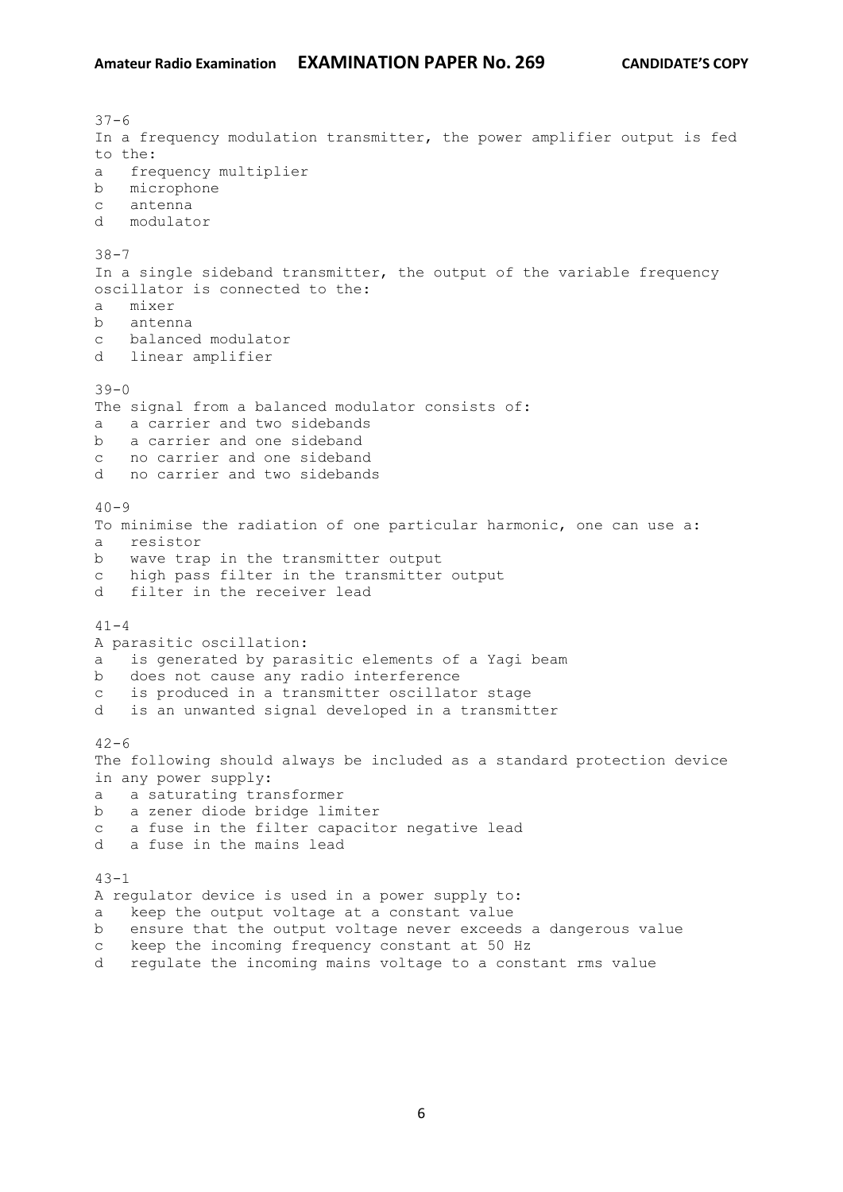$37 - 6$ In a frequency modulation transmitter, the power amplifier output is fed to the: a frequency multiplier b microphone c antenna d modulator 38-7 In a single sideband transmitter, the output of the variable frequency oscillator is connected to the: a mixer b antenna c balanced modulator d linear amplifier  $39 - 0$ The signal from a balanced modulator consists of: a a carrier and two sidebands b a carrier and one sideband c no carrier and one sideband d no carrier and two sidebands  $40 - 9$ To minimise the radiation of one particular harmonic, one can use a: a resistor b wave trap in the transmitter output c high pass filter in the transmitter output d filter in the receiver lead  $41 - 4$ A parasitic oscillation: a is generated by parasitic elements of a Yagi beam b does not cause any radio interference c is produced in a transmitter oscillator stage d is an unwanted signal developed in a transmitter  $42 - 6$ The following should always be included as a standard protection device in any power supply: a a saturating transformer b a zener diode bridge limiter c a fuse in the filter capacitor negative lead d a fuse in the mains lead  $43 - 1$ A regulator device is used in a power supply to: a keep the output voltage at a constant value b ensure that the output voltage never exceeds a dangerous value c keep the incoming frequency constant at 50 Hz

d regulate the incoming mains voltage to a constant rms value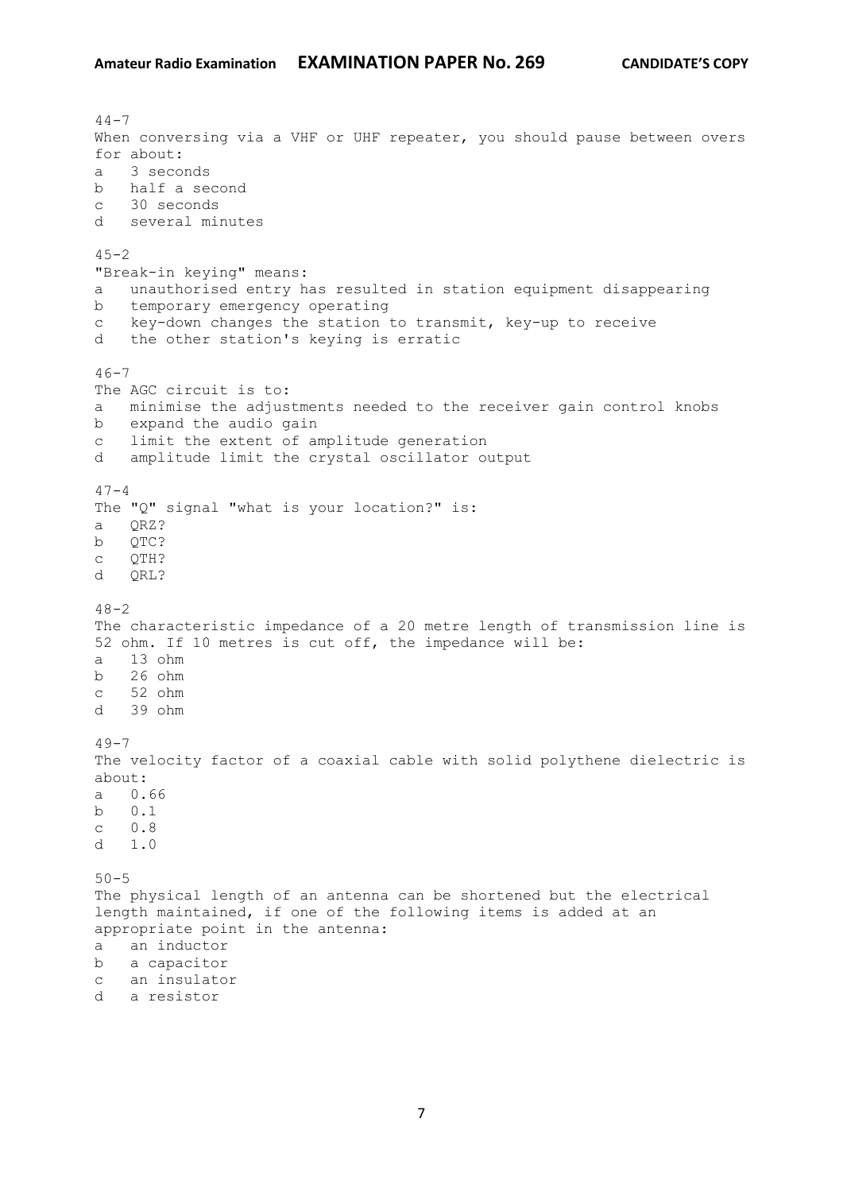$44 - 7$ When conversing via a VHF or UHF repeater, you should pause between overs for about: a 3 seconds b half a second c 30 seconds d several minutes  $45 - 2$ "Break-in keying" means: a unauthorised entry has resulted in station equipment disappearing b temporary emergency operating c key-down changes the station to transmit, key-up to receive d the other station's keying is erratic  $46 - 7$ The AGC circuit is to: a minimise the adjustments needed to the receiver gain control knobs b expand the audio gain c limit the extent of amplitude generation d amplitude limit the crystal oscillator output  $47 - 4$ The "Q" signal "what is your location?" is: a QRZ? b QTC? c QTH? d QRL?  $48 - 2$ The characteristic impedance of a 20 metre length of transmission line is 52 ohm. If 10 metres is cut off, the impedance will be: a 13 ohm b 26 ohm c 52 ohm d 39 ohm  $49 - 7$ The velocity factor of a coaxial cable with solid polythene dielectric is about: a 0.66 b 0.1 c 0.8 d 1.0 50-5 The physical length of an antenna can be shortened but the electrical length maintained, if one of the following items is added at an appropriate point in the antenna: a an inductor b a capacitor c an insulator d a resistor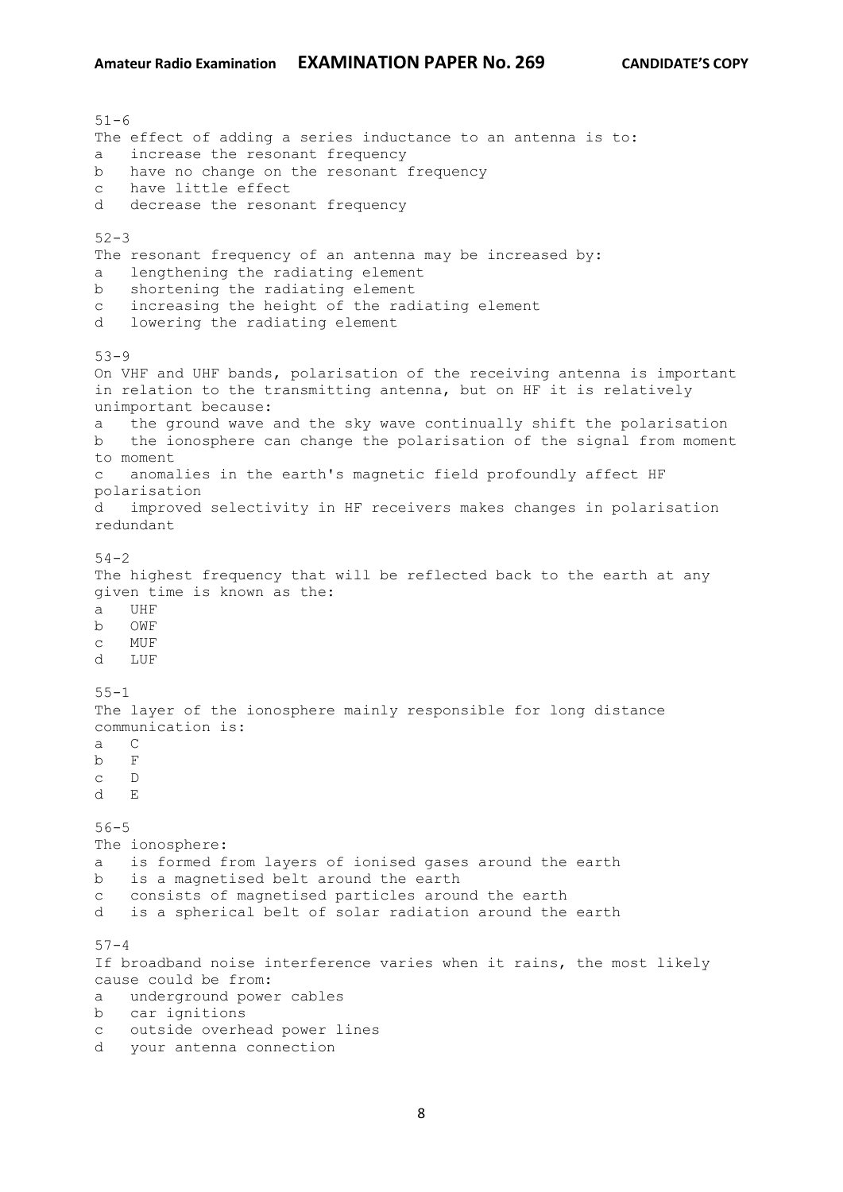51-6 The effect of adding a series inductance to an antenna is to: a increase the resonant frequency b have no change on the resonant frequency c have little effect d decrease the resonant frequency  $52 - 3$ The resonant frequency of an antenna may be increased by: a lengthening the radiating element b shortening the radiating element c increasing the height of the radiating element d lowering the radiating element 53-9 On VHF and UHF bands, polarisation of the receiving antenna is important in relation to the transmitting antenna, but on HF it is relatively unimportant because: a the ground wave and the sky wave continually shift the polarisation b the ionosphere can change the polarisation of the signal from moment to moment c anomalies in the earth's magnetic field profoundly affect HF polarisation d improved selectivity in HF receivers makes changes in polarisation redundant 54-2 The highest frequency that will be reflected back to the earth at any given time is known as the: a UHF b OWF c MUF d LUF 55-1 The layer of the ionosphere mainly responsible for long distance communication is: a C b F c D d E 56-5 The ionosphere: a is formed from layers of ionised gases around the earth b is a magnetised belt around the earth c consists of magnetised particles around the earth d is a spherical belt of solar radiation around the earth  $57 - 4$ If broadband noise interference varies when it rains, the most likely cause could be from: a underground power cables b car ignitions c outside overhead power lines d your antenna connection